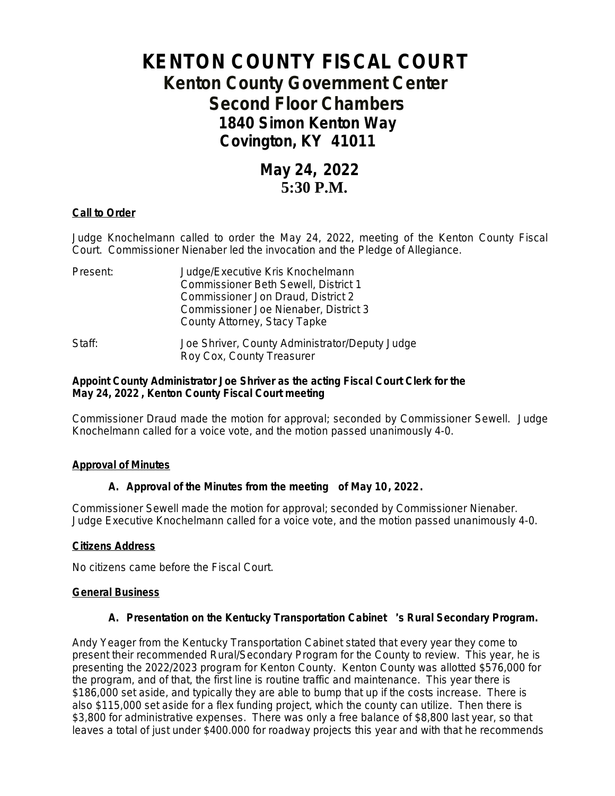# **KENTON COUNTY FISCAL COURT Kenton County Government Center Second Floor Chambers 1840 Simon Kenton Way Covington, KY 41011**

## **May 24, 2022 5:30 P.M.**

## **Call to Order**

Judge Knochelmann called to order the May 24, 2022, meeting of the Kenton County Fiscal Court. Commissioner Nienaber led the invocation and the Pledge of Allegiance.

| Present: | Judge/Executive Kris Knochelmann               |
|----------|------------------------------------------------|
|          | Commissioner Beth Sewell, District 1           |
|          | Commissioner Jon Draud, District 2             |
|          | Commissioner Joe Nienaber, District 3          |
|          | County Attorney, Stacy Tapke                   |
| Staff:   | Joe Shriver, County Administrator/Deputy Judge |
|          | Roy Cox, County Treasurer                      |

## **Appoint County Administrator Joe Shriver as the acting Fiscal Court Clerk for the May 24, 2022 , Kenton County Fiscal Court meeting**

Commissioner Draud made the motion for approval; seconded by Commissioner Sewell. Judge Knochelmann called for a voice vote, and the motion passed unanimously 4-0.

## **Approval of Minutes**

## **A. Approval of the Minutes from the meeting of May 10, 2022.**

Commissioner Sewell made the motion for approval; seconded by Commissioner Nienaber. Judge Executive Knochelmann called for a voice vote, and the motion passed unanimously 4-0.

## **Citizens Address**

No citizens came before the Fiscal Court.

## **General Business**

## **A. Presentation on the Kentucky Transportation Cabinet** '**s Rural Secondary Program.**

Andy Yeager from the Kentucky Transportation Cabinet stated that every year they come to present their recommended Rural/Secondary Program for the County to review. This year, he is presenting the 2022/2023 program for Kenton County. Kenton County was allotted \$576,000 for the program, and of that, the first line is routine traffic and maintenance. This year there is \$186,000 set aside, and typically they are able to bump that up if the costs increase. There is also \$115,000 set aside for a flex funding project, which the county can utilize. Then there is \$3,800 for administrative expenses. There was only a free balance of \$8,800 last year, so that leaves a total of just under \$400.000 for roadway projects this year and with that he recommends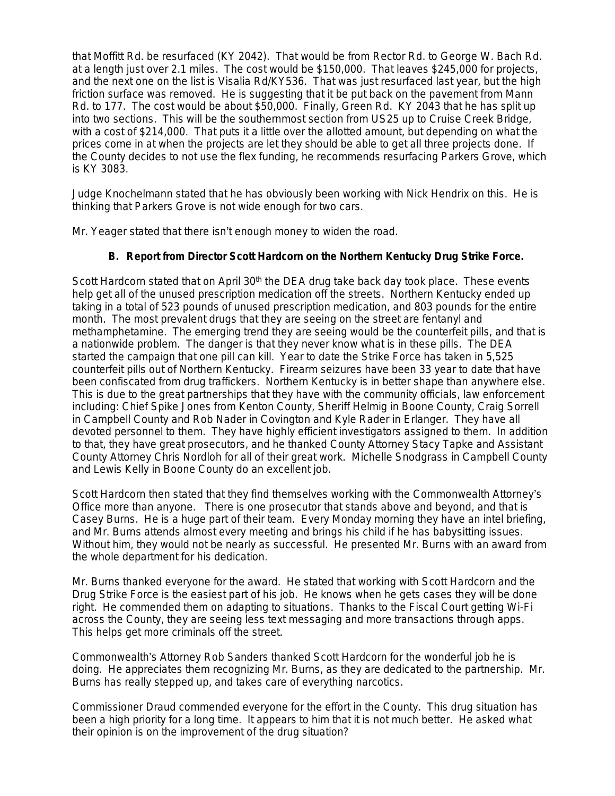that Moffitt Rd. be resurfaced (KY 2042). That would be from Rector Rd. to George W. Bach Rd. at a length just over 2.1 miles. The cost would be \$150,000. That leaves \$245,000 for projects, and the next one on the list is Visalia Rd/KY536. That was just resurfaced last year, but the high friction surface was removed. He is suggesting that it be put back on the pavement from Mann Rd. to 177. The cost would be about \$50,000. Finally, Green Rd. KY 2043 that he has split up into two sections. This will be the southernmost section from US25 up to Cruise Creek Bridge, with a cost of \$214,000. That puts it a little over the allotted amount, but depending on what the prices come in at when the projects are let they should be able to get all three projects done. If the County decides to not use the flex funding, he recommends resurfacing Parkers Grove, which is KY 3083.

Judge Knochelmann stated that he has obviously been working with Nick Hendrix on this. He is thinking that Parkers Grove is not wide enough for two cars.

Mr. Yeager stated that there isn't enough money to widen the road.

## **B. Report from Director Scott Hardcorn on the Northern Kentucky Drug Strike Force.**

Scott Hardcorn stated that on April 30<sup>th</sup> the DEA drug take back day took place. These events help get all of the unused prescription medication off the streets. Northern Kentucky ended up taking in a total of 523 pounds of unused prescription medication, and 803 pounds for the entire month. The most prevalent drugs that they are seeing on the street are fentanyl and methamphetamine. The emerging trend they are seeing would be the counterfeit pills, and that is a nationwide problem. The danger is that they never know what is in these pills. The DEA started the campaign that one pill can kill. Year to date the Strike Force has taken in 5,525 counterfeit pills out of Northern Kentucky. Firearm seizures have been 33 year to date that have been confiscated from drug traffickers. Northern Kentucky is in better shape than anywhere else. This is due to the great partnerships that they have with the community officials, law enforcement including: Chief Spike Jones from Kenton County, Sheriff Helmig in Boone County, Craig Sorrell in Campbell County and Rob Nader in Covington and Kyle Rader in Erlanger. They have all devoted personnel to them. They have highly efficient investigators assigned to them. In addition to that, they have great prosecutors, and he thanked County Attorney Stacy Tapke and Assistant County Attorney Chris Nordloh for all of their great work. Michelle Snodgrass in Campbell County and Lewis Kelly in Boone County do an excellent job.

Scott Hardcorn then stated that they find themselves working with the Commonwealth Attorney's Office more than anyone. There is one prosecutor that stands above and beyond, and that is Casey Burns. He is a huge part of their team. Every Monday morning they have an intel briefing, and Mr. Burns attends almost every meeting and brings his child if he has babysitting issues. Without him, they would not be nearly as successful. He presented Mr. Burns with an award from the whole department for his dedication.

Mr. Burns thanked everyone for the award. He stated that working with Scott Hardcorn and the Drug Strike Force is the easiest part of his job. He knows when he gets cases they will be done right. He commended them on adapting to situations. Thanks to the Fiscal Court getting Wi-Fi across the County, they are seeing less text messaging and more transactions through apps. This helps get more criminals off the street.

Commonwealth's Attorney Rob Sanders thanked Scott Hardcorn for the wonderful job he is doing. He appreciates them recognizing Mr. Burns, as they are dedicated to the partnership. Mr. Burns has really stepped up, and takes care of everything narcotics.

Commissioner Draud commended everyone for the effort in the County. This drug situation has been a high priority for a long time. It appears to him that it is not much better. He asked what their opinion is on the improvement of the drug situation?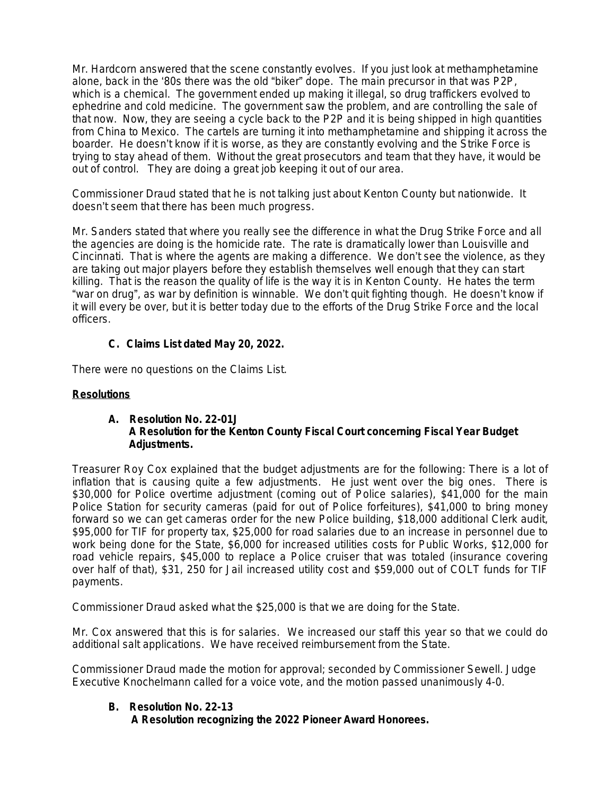Mr. Hardcorn answered that the scene constantly evolves. If you just look at methamphetamine alone, back in the '80s there was the old "biker" dope. The main precursor in that was P2P, which is a chemical. The government ended up making it illegal, so drug traffickers evolved to ephedrine and cold medicine. The government saw the problem, and are controlling the sale of that now. Now, they are seeing a cycle back to the P2P and it is being shipped in high quantities from China to Mexico. The cartels are turning it into methamphetamine and shipping it across the boarder. He doesn't know if it is worse, as they are constantly evolving and the Strike Force is trying to stay ahead of them. Without the great prosecutors and team that they have, it would be out of control. They are doing a great job keeping it out of our area.

Commissioner Draud stated that he is not talking just about Kenton County but nationwide. It doesn't seem that there has been much progress.

Mr. Sanders stated that where you really see the difference in what the Drug Strike Force and all the agencies are doing is the homicide rate. The rate is dramatically lower than Louisville and Cincinnati. That is where the agents are making a difference. We don't see the violence, as they are taking out major players before they establish themselves well enough that they can start killing. That is the reason the quality of life is the way it is in Kenton County. He hates the term "war on drug", as war by definition is winnable. We don't quit fighting though. He doesn't know if it will every be over, but it is better today due to the efforts of the Drug Strike Force and the local officers.

## **C. Claims List dated May 20, 2022.**

There were no questions on the Claims List.

## **Resolutions**

## **A. Resolution No. 22-01J A Resolution for the Kenton County Fiscal Court concerning Fiscal Year Budget Adjustments.**

Treasurer Roy Cox explained that the budget adjustments are for the following: There is a lot of inflation that is causing quite a few adjustments. He just went over the big ones. There is \$30,000 for Police overtime adjustment (coming out of Police salaries), \$41,000 for the main Police Station for security cameras (paid for out of Police forfeitures), \$41,000 to bring money forward so we can get cameras order for the new Police building, \$18,000 additional Clerk audit, \$95,000 for TIF for property tax, \$25,000 for road salaries due to an increase in personnel due to work being done for the State, \$6,000 for increased utilities costs for Public Works, \$12,000 for road vehicle repairs, \$45,000 to replace a Police cruiser that was totaled (insurance covering over half of that), \$31, 250 for Jail increased utility cost and \$59,000 out of COLT funds for TIF payments.

Commissioner Draud asked what the \$25,000 is that we are doing for the State.

Mr. Cox answered that this is for salaries. We increased our staff this year so that we could do additional salt applications. We have received reimbursement from the State.

Commissioner Draud made the motion for approval; seconded by Commissioner Sewell. Judge Executive Knochelmann called for a voice vote, and the motion passed unanimously 4-0.

## **B. Resolution No. 22-13**

 **A Resolution recognizing the 2022 Pioneer Award Honorees.**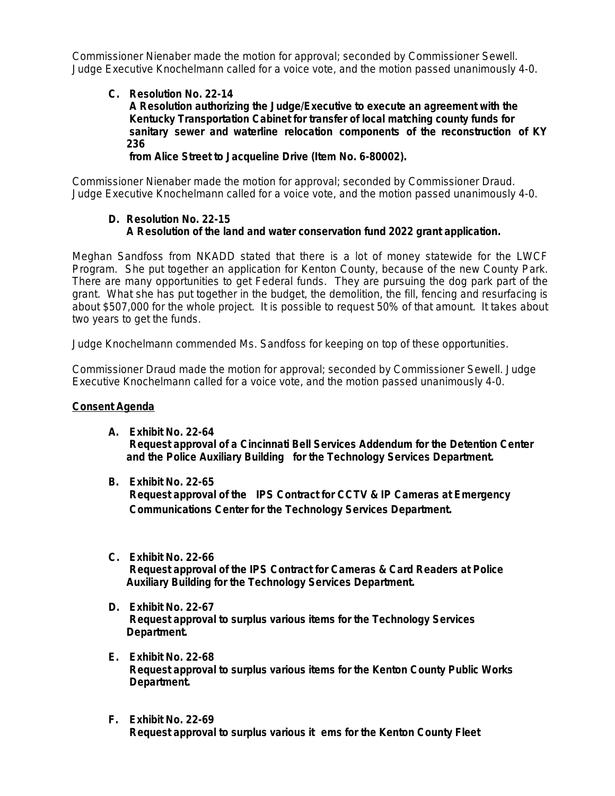Commissioner Nienaber made the motion for approval; seconded by Commissioner Sewell. Judge Executive Knochelmann called for a voice vote, and the motion passed unanimously 4-0.

## **C. Resolution No. 22-14 A Resolution authorizing the Judge/Executive to execute an agreement with the Kentucky Transportation Cabinet for transfer of local matching county funds for sanitary sewer and waterline relocation components of the reconstruction of KY 236**

**from Alice Street to Jacqueline Drive (Item No. 6-80002).**

Commissioner Nienaber made the motion for approval; seconded by Commissioner Draud. Judge Executive Knochelmann called for a voice vote, and the motion passed unanimously 4-0.

## **D. Resolution No. 22-15 A Resolution of the land and water conservation fund 2022 grant application.**

Meghan Sandfoss from NKADD stated that there is a lot of money statewide for the LWCF Program. She put together an application for Kenton County, because of the new County Park. There are many opportunities to get Federal funds. They are pursuing the dog park part of the grant. What she has put together in the budget, the demolition, the fill, fencing and resurfacing is about \$507,000 for the whole project. It is possible to request 50% of that amount. It takes about two years to get the funds.

Judge Knochelmann commended Ms. Sandfoss for keeping on top of these opportunities.

Commissioner Draud made the motion for approval; seconded by Commissioner Sewell. Judge Executive Knochelmann called for a voice vote, and the motion passed unanimously 4-0.

## **Consent Agenda**

- **A. Exhibit No. 22-64 Request approval of a Cincinnati Bell Services Addendum for the Detention Center and the Police Auxiliary Building for the Technology Services Department.**
- **B. Exhibit No. 22-65**

 **Request approval of the IPS Contract for CCTV & IP Cameras at Emergency Communications Center for the Technology Services Department.**

- **C. Exhibit No. 22-66 Request approval of the IPS Contract for Cameras & Card Readers at Police Auxiliary Building for the Technology Services Department.**
- **D. Exhibit No. 22-67 Request approval to surplus various items for the Technology Services Department.**
- **E. Exhibit No. 22-68 Request approval to surplus various items for the Kenton County Public Works Department.**
- **F. Exhibit No. 22-69 Request approval to surplus various it ems for the Kenton County Fleet**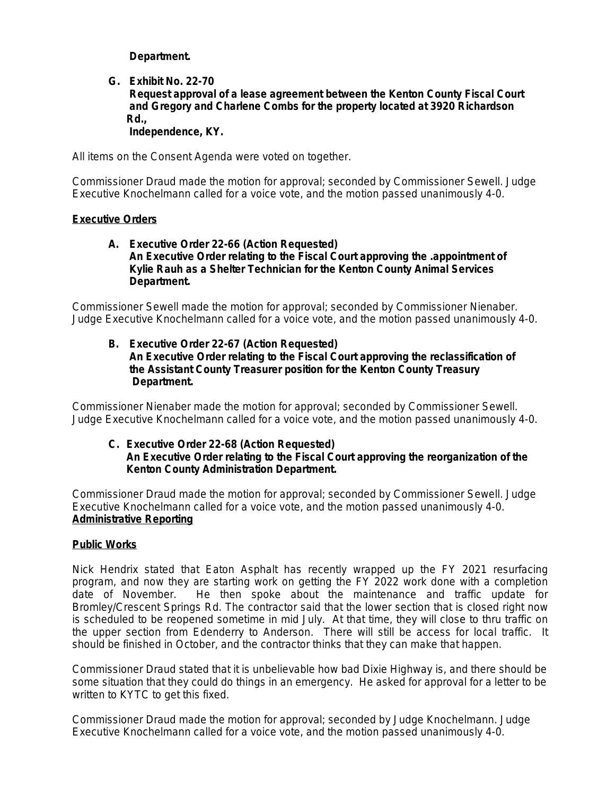**Department.**

#### **G. Exhibit No. 22-70 Request approval of a lease agreement between the Kenton County Fiscal Court and Gregory and Charlene Combs for the property located at 3920 Richardson Rd., Independence, KY.**

All items on the Consent Agenda were voted on together.

Commissioner Draud made the motion for approval; seconded by Commissioner Sewell. Judge Executive Knochelmann called for a voice vote, and the motion passed unanimously 4-0.

#### **Executive Orders**

#### **A. Executive Order 22-66 (Action Requested) An Executive Order relating to the Fiscal Court approving the .appointment of Kylie Rauh as a Shelter Technician for the Kenton County Animal Services Department.**

Commissioner Sewell made the motion for approval; seconded by Commissioner Nienaber. Judge Executive Knochelmann called for a voice vote, and the motion passed unanimously 4-0.

**B. Executive Order 22-67 (Action Requested) An Executive Order relating to the Fiscal Court approving the reclassification of the Assistant County Treasurer position for the Kenton County Treasury Department.**

Commissioner Nienaber made the motion for approval; seconded by Commissioner Sewell. Judge Executive Knochelmann called for a voice vote, and the motion passed unanimously 4-0.

#### **C. Executive Order 22-68 (Action Requested) An Executive Order relating to the Fiscal Court approving the reorganization of the Kenton County Administration Department.**

Commissioner Draud made the motion for approval; seconded by Commissioner Sewell. Judge Executive Knochelmann called for a voice vote, and the motion passed unanimously 4-0. **Administrative Reporting**

## **Public Works**

Nick Hendrix stated that Eaton Asphalt has recently wrapped up the FY 2021 resurfacing program, and now they are starting work on getting the FY 2022 work done with a completion date of November. He then spoke about the maintenance and traffic update for Bromley/Crescent Springs Rd. The contractor said that the lower section that is closed right now is scheduled to be reopened sometime in mid July. At that time, they will close to thru traffic on the upper section from Edenderry to Anderson. There will still be access for local traffic. It should be finished in October, and the contractor thinks that they can make that happen.

Commissioner Draud stated that it is unbelievable how bad Dixie Highway is, and there should be some situation that they could do things in an emergency. He asked for approval for a letter to be written to KYTC to get this fixed.

Commissioner Draud made the motion for approval; seconded by Judge Knochelmann. Judge Executive Knochelmann called for a voice vote, and the motion passed unanimously 4-0.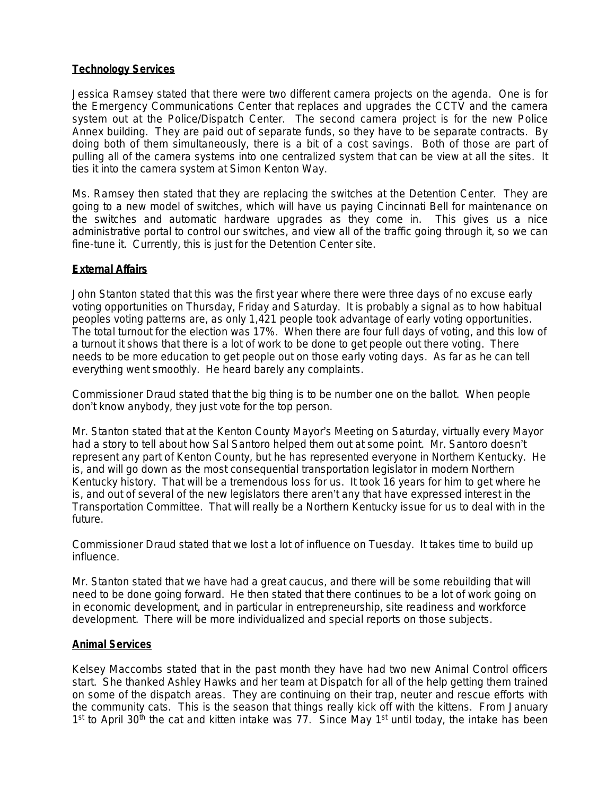## **Technology Services**

Jessica Ramsey stated that there were two different camera projects on the agenda. One is for the Emergency Communications Center that replaces and upgrades the CCTV and the camera system out at the Police/Dispatch Center. The second camera project is for the new Police Annex building. They are paid out of separate funds, so they have to be separate contracts. By doing both of them simultaneously, there is a bit of a cost savings. Both of those are part of pulling all of the camera systems into one centralized system that can be view at all the sites. It ties it into the camera system at Simon Kenton Way.

Ms. Ramsey then stated that they are replacing the switches at the Detention Center. They are going to a new model of switches, which will have us paying Cincinnati Bell for maintenance on the switches and automatic hardware upgrades as they come in. This gives us a nice administrative portal to control our switches, and view all of the traffic going through it, so we can fine-tune it. Currently, this is just for the Detention Center site.

## **External Affairs**

John Stanton stated that this was the first year where there were three days of no excuse early voting opportunities on Thursday, Friday and Saturday. It is probably a signal as to how habitual peoples voting patterns are, as only 1,421 people took advantage of early voting opportunities. The total turnout for the election was 17%. When there are four full days of voting, and this low of a turnout it shows that there is a lot of work to be done to get people out there voting. There needs to be more education to get people out on those early voting days. As far as he can tell everything went smoothly. He heard barely any complaints.

Commissioner Draud stated that the big thing is to be number one on the ballot. When people don't know anybody, they just vote for the top person.

Mr. Stanton stated that at the Kenton County Mayor's Meeting on Saturday, virtually every Mayor had a story to tell about how Sal Santoro helped them out at some point. Mr. Santoro doesn't represent any part of Kenton County, but he has represented everyone in Northern Kentucky. He is, and will go down as the most consequential transportation legislator in modern Northern Kentucky history. That will be a tremendous loss for us. It took 16 years for him to get where he is, and out of several of the new legislators there aren't any that have expressed interest in the Transportation Committee. That will really be a Northern Kentucky issue for us to deal with in the future.

Commissioner Draud stated that we lost a lot of influence on Tuesday. It takes time to build up influence.

Mr. Stanton stated that we have had a great caucus, and there will be some rebuilding that will need to be done going forward. He then stated that there continues to be a lot of work going on in economic development, and in particular in entrepreneurship, site readiness and workforce development. There will be more individualized and special reports on those subjects.

#### **Animal Services**

Kelsey Maccombs stated that in the past month they have had two new Animal Control officers start. She thanked Ashley Hawks and her team at Dispatch for all of the help getting them trained on some of the dispatch areas. They are continuing on their trap, neuter and rescue efforts with the community cats. This is the season that things really kick off with the kittens. From January 1<sup>st</sup> to April 30<sup>th</sup> the cat and kitten intake was 77. Since May 1<sup>st</sup> until today, the intake has been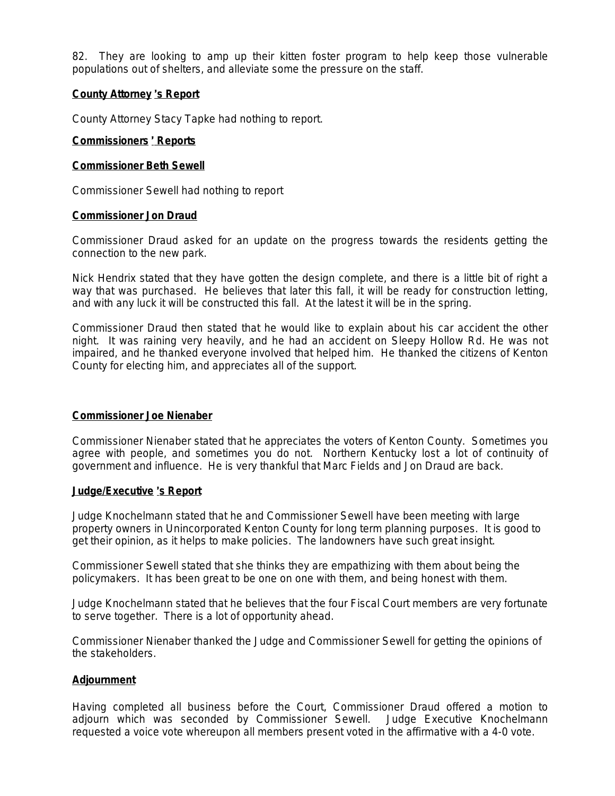82. They are looking to amp up their kitten foster program to help keep those vulnerable populations out of shelters, and alleviate some the pressure on the staff.

## **County Attorney** '**s Report**

County Attorney Stacy Tapke had nothing to report.

#### **Commissioners** ' **Reports**

#### **Commissioner Beth Sewell**

Commissioner Sewell had nothing to report

#### **Commissioner Jon Draud**

Commissioner Draud asked for an update on the progress towards the residents getting the connection to the new park.

Nick Hendrix stated that they have gotten the design complete, and there is a little bit of right a way that was purchased. He believes that later this fall, it will be ready for construction letting, and with any luck it will be constructed this fall. At the latest it will be in the spring.

Commissioner Draud then stated that he would like to explain about his car accident the other night. It was raining very heavily, and he had an accident on Sleepy Hollow Rd. He was not impaired, and he thanked everyone involved that helped him. He thanked the citizens of Kenton County for electing him, and appreciates all of the support.

#### **Commissioner Joe Nienaber**

Commissioner Nienaber stated that he appreciates the voters of Kenton County. Sometimes you agree with people, and sometimes you do not. Northern Kentucky lost a lot of continuity of government and influence. He is very thankful that Marc Fields and Jon Draud are back.

#### **Judge/Executive** '**s Report**

Judge Knochelmann stated that he and Commissioner Sewell have been meeting with large property owners in Unincorporated Kenton County for long term planning purposes. It is good to get their opinion, as it helps to make policies. The landowners have such great insight.

Commissioner Sewell stated that she thinks they are empathizing with them about being the policymakers. It has been great to be one on one with them, and being honest with them.

Judge Knochelmann stated that he believes that the four Fiscal Court members are very fortunate to serve together. There is a lot of opportunity ahead.

Commissioner Nienaber thanked the Judge and Commissioner Sewell for getting the opinions of the stakeholders.

#### **Adjournment**

Having completed all business before the Court, Commissioner Draud offered a motion to adjourn which was seconded by Commissioner Sewell. Judge Executive Knochelmann requested a voice vote whereupon all members present voted in the affirmative with a 4-0 vote.